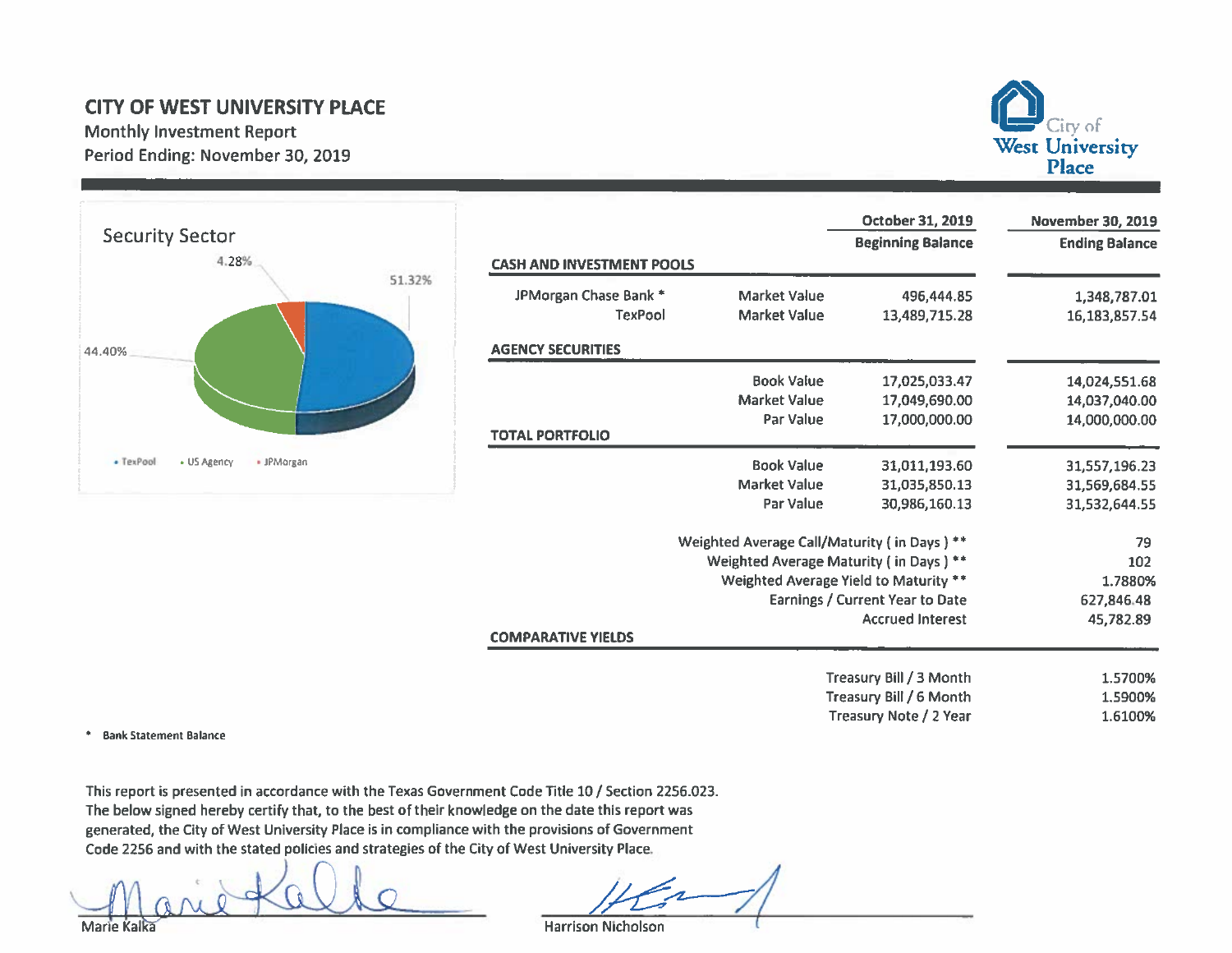## **CITY OF WEST UNIVERSITY PLACE**

**Monthly Investment Report** Period Ending: November 30, 2019



\* Bank Statement Balance

This report is presented in accordance with the Texas Government Code Title 10 / Section 2256.023. The below signed hereby certify that, to the best of their knowledge on the date this report was generated, the City of West University Place is in compliance with the provisions of Government Code 2256 and with the stated policies and strategies of the City of West University Place.

**Harrison Nicholson** 

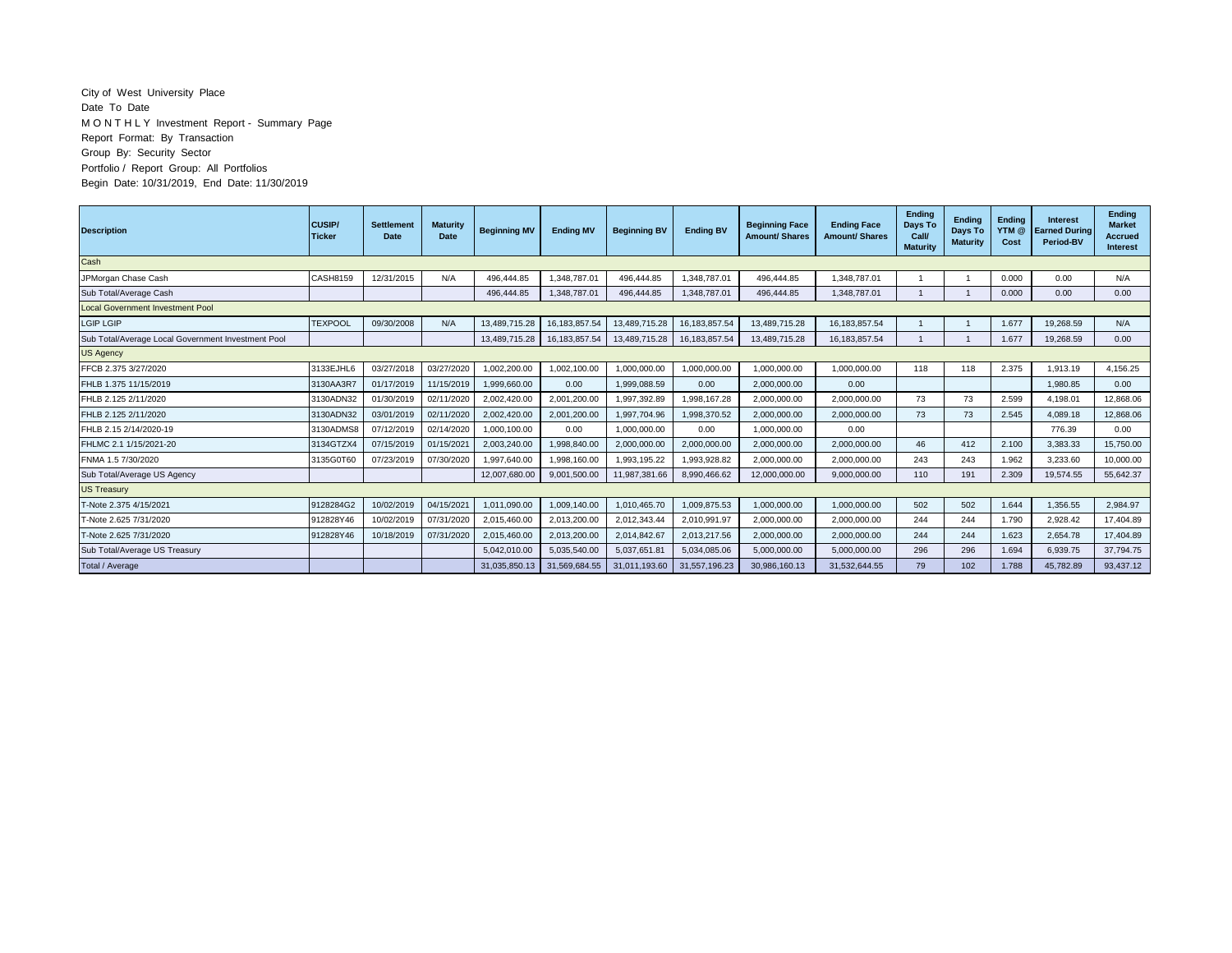## City of West University Place Date To Date M O N T H L Y Investment Report - Summary Page Report Format: By Transaction Group By: Security Sector Portfolio / Report Group: All Portfolios Begin Date: 10/31/2019, End Date: 11/30/2019

| <b>Description</b>                                 | <b>CUSIP/</b><br><b>Ticker</b> | <b>Settlement</b><br><b>Date</b> | <b>Maturity</b><br>Date | <b>Beginning MV</b> | <b>Ending MV</b> | <b>Beginning BV</b> | <b>Ending BV</b> | <b>Beginning Face</b><br><b>Amount/ Shares</b> | <b>Ending Face</b><br><b>Amount/ Shares</b> | Ending<br>Days To<br>Call/<br><b>Maturity</b> | <b>Endina</b><br>Days To<br><b>Maturity</b> | Endina<br>YTM @<br>Cost | <b>Interest</b><br><b>Earned During</b><br>Period-BV | <b>Endina</b><br><b>Market</b><br><b>Accrued</b><br><b>Interest</b> |
|----------------------------------------------------|--------------------------------|----------------------------------|-------------------------|---------------------|------------------|---------------------|------------------|------------------------------------------------|---------------------------------------------|-----------------------------------------------|---------------------------------------------|-------------------------|------------------------------------------------------|---------------------------------------------------------------------|
| Cash                                               |                                |                                  |                         |                     |                  |                     |                  |                                                |                                             |                                               |                                             |                         |                                                      |                                                                     |
| JPMorgan Chase Cash                                | CASH8159                       | 12/31/2015                       | N/A                     | 496.444.85          | 1,348,787.01     | 496,444.85          | 1.348.787.01     | 496,444.85                                     | 1,348,787.01                                |                                               |                                             | 0.000                   | 0.00                                                 | N/A                                                                 |
| Sub Total/Average Cash                             |                                |                                  |                         | 496.444.85          | 1.348.787.01     | 496.444.85          | 1.348.787.01     | 496.444.85                                     | 1.348.787.01                                |                                               | $\mathbf{1}$                                | 0.000                   | 0.00                                                 | 0.00                                                                |
| <b>Local Government Investment Pool</b>            |                                |                                  |                         |                     |                  |                     |                  |                                                |                                             |                                               |                                             |                         |                                                      |                                                                     |
| <b>LGIP LGIP</b>                                   | <b>TEXPOOI</b>                 | 09/30/2008                       | N/A                     | 13.489.715.28       | 16.183.857.54    | 13.489.715.28       | 16, 183, 857.54  | 13.489.715.28                                  | 16.183.857.54                               |                                               |                                             | 1.677                   | 19.268.59                                            | N/A                                                                 |
| Sub Total/Average Local Government Investment Pool |                                |                                  |                         | 13,489,715.28       | 16, 183, 857.54  | 13,489,715.28       | 16, 183, 857.54  | 13,489,715.28                                  | 16, 183, 857.54                             |                                               |                                             | 1.677                   | 19,268.59                                            | 0.00                                                                |
| <b>US Agency</b>                                   |                                |                                  |                         |                     |                  |                     |                  |                                                |                                             |                                               |                                             |                         |                                                      |                                                                     |
| FFCB 2.375 3/27/2020                               | 3133EJHL6                      | 03/27/2018                       | 03/27/2020              | 1,002,200.00        | 1,002,100.00     | 1,000,000.00        | 1,000,000.00     | 1,000,000.00                                   | 1,000,000.00                                | 118                                           | 118                                         | 2.375                   | 1,913.19                                             | 4,156.25                                                            |
| FHLB 1.375 11/15/2019                              | 3130AA3R7                      | 01/17/2019                       | 11/15/2019              | 1,999,660.00        | 0.00             | 1,999,088.59        | 0.00             | 2,000,000.00                                   | 0.00                                        |                                               |                                             |                         | 1,980.85                                             | 0.00                                                                |
| FHLB 2.125 2/11/2020                               | 3130ADN32                      | 01/30/2019                       | 02/11/2020              | 2,002,420.00        | 2,001,200.00     | 1.997.392.89        | .998.167.28      | 2,000,000.00                                   | 2,000,000.00                                | 73                                            | 73                                          | 2.599                   | 4.198.01                                             | 12.868.06                                                           |
| FHLB 2.125 2/11/2020                               | 3130ADN32                      | 03/01/2019                       | 02/11/2020              | 2.002.420.00        | 2,001,200.00     | 1.997.704.96        | 1,998,370.52     | 2,000,000.00                                   | 2,000,000.00                                | 73                                            | 73                                          | 2.545                   | 4,089.18                                             | 12,868.06                                                           |
| FHLB 2.15 2/14/2020-19                             | 3130ADMS8                      | 07/12/2019                       | 02/14/2020              | 1.000.100.00        | 0.00             | 1.000.000.00        | 0.00             | 1,000,000.00                                   | 0.00                                        |                                               |                                             |                         | 776.39                                               | 0.00                                                                |
| FHLMC 2.1 1/15/2021-20                             | 3134GTZX4                      | 07/15/2019                       | 01/15/2021              | 2.003.240.00        | 1.998.840.00     | 2,000,000.00        | 2,000,000.00     | 2,000,000.00                                   | 2,000,000.00                                | 46                                            | 412                                         | 2.100                   | 3.383.33                                             | 15,750.00                                                           |
| FNMA 1.5 7/30/2020                                 | 3135G0T60                      | 07/23/2019                       | 07/30/2020              | 1.997.640.00        | 1.998.160.00     | 1.993.195.22        | 1.993.928.82     | 2.000.000.00                                   | 2.000.000.00                                | 243                                           | 243                                         | 1.962                   | 3.233.60                                             | 10.000.00                                                           |
| Sub Total/Average US Agency                        |                                |                                  |                         | 12.007.680.00       | 9.001.500.00     | 11,987,381.66       | 8.990.466.62     | 12.000.000.00                                  | 9.000.000.00                                | 110                                           | 191                                         | 2.309                   | 19,574.55                                            | 55,642.37                                                           |
| US Treasury                                        |                                |                                  |                         |                     |                  |                     |                  |                                                |                                             |                                               |                                             |                         |                                                      |                                                                     |
| T-Note 2.375 4/15/2021                             | 9128284G2                      | 10/02/2019                       | 04/15/2021              | 1.011.090.00        | 1,009,140.00     | 1,010,465.70        | 1,009,875.53     | 1,000,000.00                                   | 1,000,000.00                                | 502                                           | 502                                         | 1.644                   | 1,356.55                                             | 2,984.97                                                            |
| T-Note 2.625 7/31/2020                             | 912828Y46                      | 10/02/2019                       | 07/31/2020              | 2,015,460.00        | 2,013,200.00     | 2,012,343.44        | 2,010,991.97     | 2,000,000.00                                   | 2,000,000.00                                | 244                                           | 244                                         | 1.790                   | 2.928.42                                             | 17.404.89                                                           |
| T-Note 2.625 7/31/2020                             | 912828Y46                      | 10/18/2019                       | 07/31/2020              | 2,015,460.00        | 2,013,200.00     | 2,014,842.67        | 2,013,217.56     | 2,000,000.00                                   | 2,000,000.00                                | 244                                           | 244                                         | 1.623                   | 2,654.78                                             | 17,404.89                                                           |
| Sub Total/Average US Treasury                      |                                |                                  |                         | 5,042,010.00        | 5,035,540.00     | 5,037,651.81        | 5,034,085.06     | 5,000,000.00                                   | 5,000,000.00                                | 296                                           | 296                                         | 1.694                   | 6.939.75                                             | 37.794.75                                                           |
| Total / Average                                    |                                |                                  |                         | 31,035,850.13       | 31,569,684.55    | 31,011,193.60       | 31,557,196.23    | 30,986,160.13                                  | 31,532,644.55                               | 79                                            | 102                                         | 1.788                   | 45.782.89                                            | 93,437.12                                                           |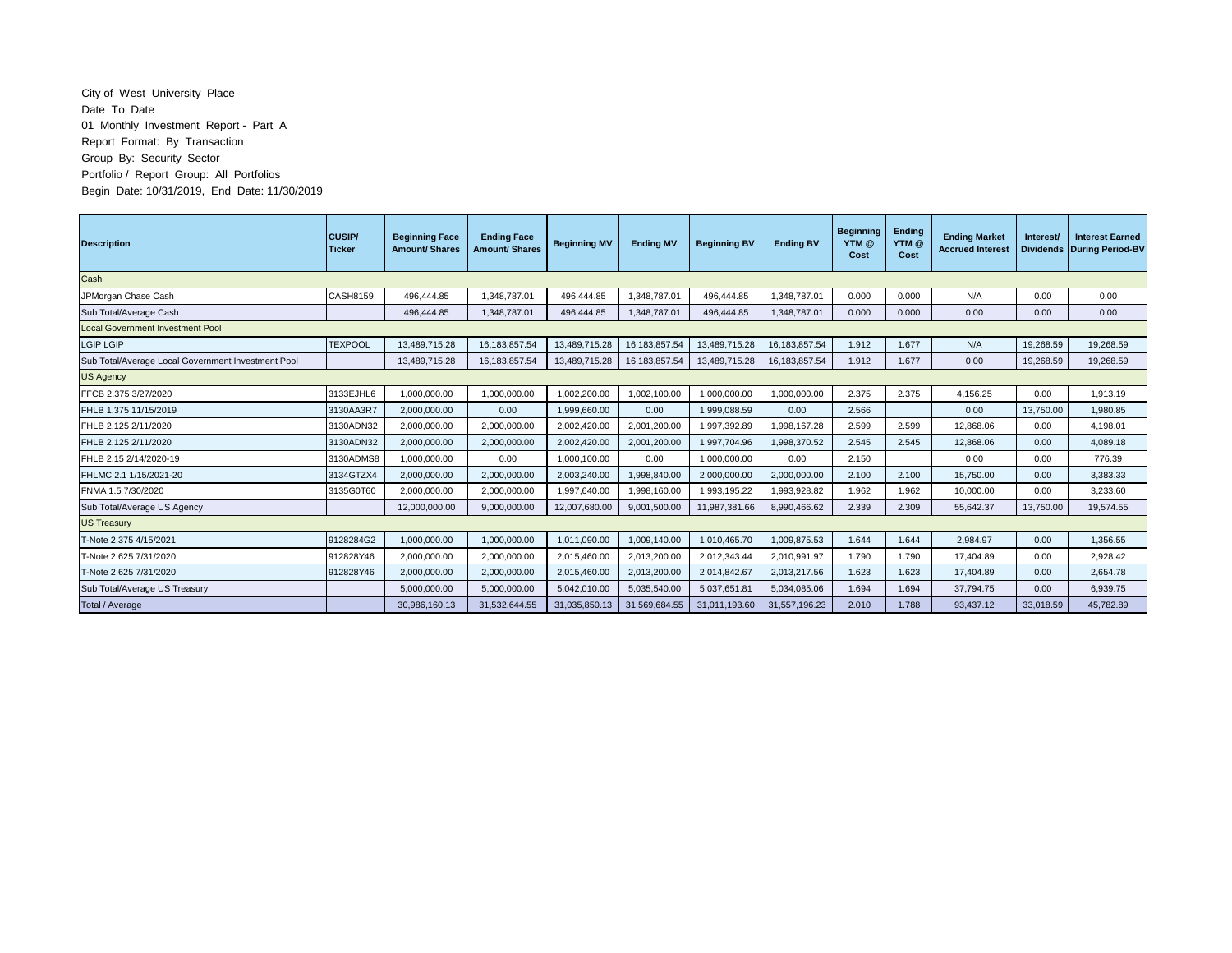## City of West University Place Date To Date 01 Monthly Investment Report - Part A Report Format: By Transaction Group By: Security Sector Portfolio / Report Group: All Portfolios Begin Date: 10/31/2019, End Date: 11/30/2019

| <b>Description</b>                                 | <b>CUSIP</b><br><b>Ticker</b> | <b>Beginning Face</b><br><b>Amount/Shares</b> | <b>Ending Face</b><br><b>Amount/ Shares</b> | <b>Beginning MV</b> | <b>Ending MV</b> | <b>Beginning BV</b> | <b>Ending BV</b> | <b>Beginning</b><br>YTM @<br>Cost | Ending<br>YTM @<br>Cost | <b>Ending Market</b><br><b>Accrued Interest</b> | Interest/<br><b>Dividends</b> | <b>Interest Earned</b><br><b>During Period-BV</b> |
|----------------------------------------------------|-------------------------------|-----------------------------------------------|---------------------------------------------|---------------------|------------------|---------------------|------------------|-----------------------------------|-------------------------|-------------------------------------------------|-------------------------------|---------------------------------------------------|
| Cash                                               |                               |                                               |                                             |                     |                  |                     |                  |                                   |                         |                                                 |                               |                                                   |
| JPMorgan Chase Cash                                | CASH8159                      | 496.444.85                                    | 1.348.787.01                                | 496.444.85          | 1.348.787.01     | 496.444.85          | 1.348.787.01     | 0.000                             | 0.000                   | N/A                                             | 0.00                          | 0.00                                              |
| Sub Total/Average Cash                             |                               | 496,444.85                                    | 1,348,787.01                                | 496,444.85          | 1,348,787.01     | 496,444.85          | 1,348,787.01     | 0.000                             | 0.000                   | 0.00                                            | 0.00                          | 0.00                                              |
| <b>Local Government Investment Pool</b>            |                               |                                               |                                             |                     |                  |                     |                  |                                   |                         |                                                 |                               |                                                   |
| <b>LGIP LGIP</b>                                   | <b>TEXPOOL</b>                | 13,489,715.28                                 | 16, 183, 857.54                             | 13,489,715.28       | 16, 183, 857.54  | 13,489,715.28       | 16,183,857.54    | 1.912                             | 1.677                   | N/A                                             | 19,268.59                     | 19,268.59                                         |
| Sub Total/Average Local Government Investment Pool |                               | 13.489.715.28                                 | 16, 183, 857.54                             | 13,489,715.28       | 16,183,857.54    | 13,489,715.28       | 16, 183, 857.54  | 1.912                             | 1.677                   | 0.00                                            | 19,268.59                     | 19,268.59                                         |
| <b>US Agency</b>                                   |                               |                                               |                                             |                     |                  |                     |                  |                                   |                         |                                                 |                               |                                                   |
| FFCB 2.375 3/27/2020                               | 3133EJHL6                     | 1,000,000.00                                  | 1,000,000.00                                | 1.002.200.00        | 1.002.100.00     | 1.000.000.00        | 1,000,000.00     | 2.375                             | 2.375                   | 4,156.25                                        | 0.00                          | 1.913.19                                          |
| FHLB 1.375 11/15/2019                              | 3130AA3R7                     | 2,000,000.00                                  | 0.00                                        | 1,999,660.00        | 0.00             | 1,999,088.59        | 0.00             | 2.566                             |                         | 0.00                                            | 13,750.00                     | 1,980.85                                          |
| FHLB 2.125 2/11/2020                               | 3130ADN32                     | 2.000.000.00                                  | 2.000.000.00                                | 2,002,420.00        | 2.001.200.00     | 1,997,392.89        | 1.998.167.28     | 2.599                             | 2.599                   | 12.868.06                                       | 0.00                          | 4.198.01                                          |
| FHLB 2.125 2/11/2020                               | 3130ADN32                     | 2,000,000.00                                  | 2,000,000.00                                | 2,002,420.00        | 2,001,200.00     | 1,997,704.96        | 1,998,370.52     | 2.545                             | 2.545                   | 12.868.06                                       | 0.00                          | 4.089.18                                          |
| FHLB 2.15 2/14/2020-19                             | 3130ADMS8                     | 1,000,000.00                                  | 0.00                                        | 1,000,100.00        | 0.00             | 1,000,000.00        | 0.00             | 2.150                             |                         | 0.00                                            | 0.00                          | 776.39                                            |
| FHLMC 2.1 1/15/2021-20                             | 3134GTZX4                     | 2,000,000.00                                  | 2,000,000.00                                | 2,003,240.00        | 1,998,840.00     | 2,000,000.00        | 2,000,000.00     | 2.100                             | 2.100                   | 15.750.00                                       | 0.00                          | 3.383.33                                          |
| FNMA 1.5 7/30/2020                                 | 3135G0T60                     | 2.000.000.00                                  | 2.000.000.00                                | 1,997,640.00        | 1.998.160.00     | 1,993,195.22        | 1.993.928.82     | 1.962                             | 1.962                   | 10.000.00                                       | 0.00                          | 3.233.60                                          |
| Sub Total/Average US Agency                        |                               | 12,000,000.00                                 | 9,000,000.00                                | 12,007,680.00       | 9,001,500.00     | 11,987,381.66       | 8,990,466.62     | 2.339                             | 2.309                   | 55,642.37                                       | 13,750.00                     | 19.574.55                                         |
| <b>US Treasury</b>                                 |                               |                                               |                                             |                     |                  |                     |                  |                                   |                         |                                                 |                               |                                                   |
| T-Note 2.375 4/15/2021                             | 9128284G2                     | 1,000,000.00                                  | 1,000,000.00                                | 1,011,090.00        | 1,009,140.00     | 1,010,465.70        | 1,009,875.53     | 1.644                             | 1.644                   | 2.984.97                                        | 0.00                          | 1.356.55                                          |
| T-Note 2.625 7/31/2020                             | 912828Y46                     | 2,000,000.00                                  | 2,000,000.00                                | 2,015,460.00        | 2,013,200.00     | 2,012,343.44        | 2,010,991.97     | 1.790                             | 1.790                   | 17,404.89                                       | 0.00                          | 2,928.42                                          |
| T-Note 2.625 7/31/2020                             | 912828Y46                     | 2,000,000.00                                  | 2,000,000.00                                | 2,015,460.00        | 2,013,200.00     | 2,014,842.67        | 2,013,217.56     | 1.623                             | 1.623                   | 17.404.89                                       | 0.00                          | 2.654.78                                          |
| Sub Total/Average US Treasury                      |                               | 5,000,000.00                                  | 5,000,000.00                                | 5,042,010.00        | 5,035,540.00     | 5,037,651.81        | 5,034,085.06     | 1.694                             | 1.694                   | 37.794.75                                       | 0.00                          | 6,939.75                                          |
| Total / Average                                    |                               | 30.986.160.13                                 | 31.532.644.55                               | 31,035,850.13       | 31,569,684.55    | 31,011,193.60       | 31.557.196.23    | 2.010                             | 1.788                   | 93.437.12                                       | 33,018.59                     | 45,782.89                                         |